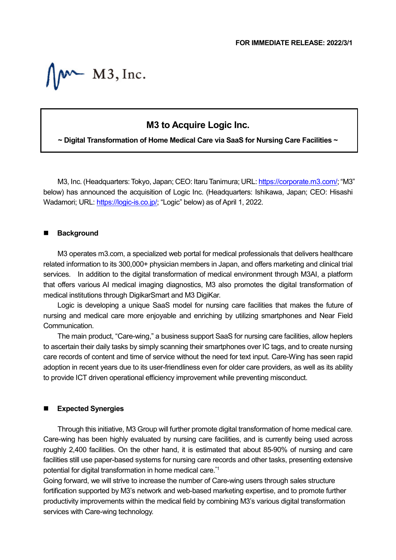$M$  M3, Inc.

## **M3 to Acquire Logic Inc.**

**~ Digital Transformation of Home Medical Care via SaaS for Nursing Care Facilities ~**

M3, Inc. (Headquarters: Tokyo, Japan; CEO: Itaru Tanimura; URL[: https://corporate.m3.com/;](https://corporate.m3.com/) "M3" below) has announced the acquisition of Logic Inc. (Headquarters: Ishikawa, Japan; CEO: Hisashi Wadamori; URL: [https://logic-is.co.jp/;](https://logic-is.co.jp/) "Logic" below) as of April 1, 2022.

## **Background**

M3 operates m3.com, a specialized web portal for medical professionals that delivers healthcare related information to its 300,000+ physician members in Japan, and offers marketing and clinical trial services. In addition to the digital transformation of medical environment through M3AI, a platform that offers various AI medical imaging diagnostics, M3 also promotes the digital transformation of medical institutions through DigikarSmart and M3 DigiKar.

Logic is developing a unique SaaS model for nursing care facilities that makes the future of nursing and medical care more enjoyable and enriching by utilizing smartphones and Near Field Communication.

The main product, "Care-wing," a business support SaaS for nursing care facilities, allow heplers to ascertain their daily tasks by simply scanning their smartphones over IC tags, and to create nursing care records of content and time of service without the need for text input. Care-Wing has seen rapid adoption in recent years due to its user-friendliness even for older care providers, as well as its ability to provide ICT driven operational efficiency improvement while preventing misconduct.

## **Expected Synergies**

Through this initiative, M3 Group will further promote digital transformation of home medical care. Care-wing has been highly evaluated by nursing care facilities, and is currently being used across roughly 2,400 facilities. On the other hand, it is estimated that about 85-90% of nursing and care facilities still use paper-based systems for nursing care records and other tasks, presenting extensive potential for digital transformation in home medical care. \*1

Going forward, we will strive to increase the number of Care-wing users through sales structure fortification supported by M3's network and web-based marketing expertise, and to promote further productivity improvements within the medical field by combining M3's various digital transformation services with Care-wing technology.